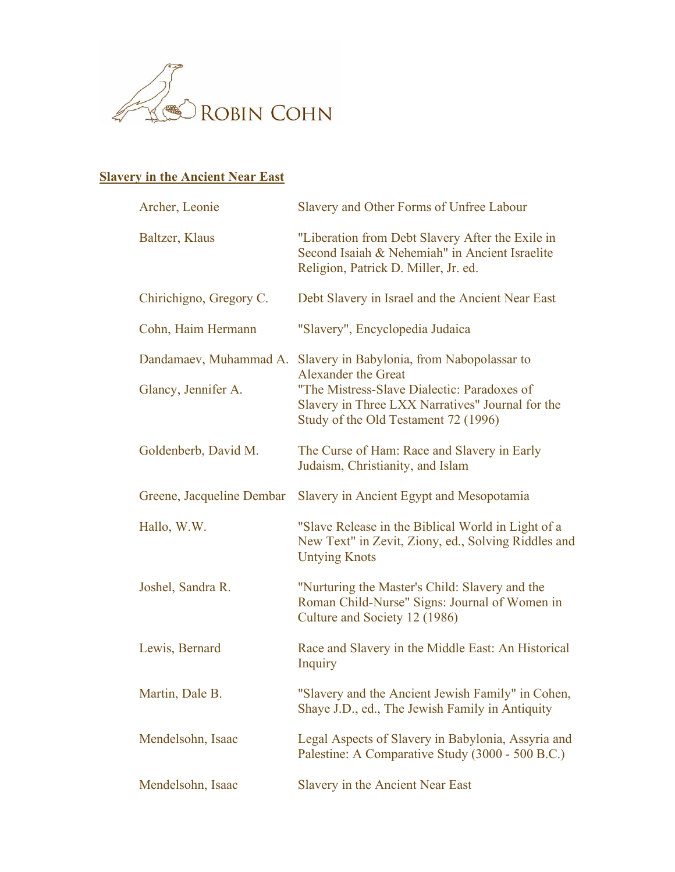

## **Slavery in the Ancient Near East**

| Archer, Leonie            | Slavery and Other Forms of Unfree Labour                                                                                                                                                                                                   |
|---------------------------|--------------------------------------------------------------------------------------------------------------------------------------------------------------------------------------------------------------------------------------------|
| Baltzer, Klaus            | "Liberation from Debt Slavery After the Exile in<br>Second Isaiah & Nehemiah" in Ancient Israelite<br>Religion, Patrick D. Miller, Jr. ed.                                                                                                 |
| Chirichigno, Gregory C.   | Debt Slavery in Israel and the Ancient Near East                                                                                                                                                                                           |
| Cohn, Haim Hermann        | "Slavery", Encyclopedia Judaica                                                                                                                                                                                                            |
| Glancy, Jennifer A.       | Dandamaev, Muhammad A. Slavery in Babylonia, from Nabopolassar to<br><b>Alexander the Great</b><br>"The Mistress-Slave Dialectic: Paradoxes of<br>Slavery in Three LXX Narratives" Journal for the<br>Study of the Old Testament 72 (1996) |
| Goldenberb, David M.      | The Curse of Ham: Race and Slavery in Early<br>Judaism, Christianity, and Islam                                                                                                                                                            |
| Greene, Jacqueline Dembar | Slavery in Ancient Egypt and Mesopotamia                                                                                                                                                                                                   |
| Hallo, W.W.               | "Slave Release in the Biblical World in Light of a<br>New Text" in Zevit, Ziony, ed., Solving Riddles and<br><b>Untying Knots</b>                                                                                                          |
| Joshel, Sandra R.         | "Nurturing the Master's Child: Slavery and the<br>Roman Child-Nurse" Signs: Journal of Women in<br>Culture and Society 12 (1986)                                                                                                           |
| Lewis, Bernard            | Race and Slavery in the Middle East: An Historical<br>Inquiry                                                                                                                                                                              |
| Martin, Dale B.           | "Slavery and the Ancient Jewish Family" in Cohen,<br>Shaye J.D., ed., The Jewish Family in Antiquity                                                                                                                                       |
| Mendelsohn, Isaac         | Legal Aspects of Slavery in Babylonia, Assyria and<br>Palestine: A Comparative Study (3000 - 500 B.C.)                                                                                                                                     |
| Mendelsohn, Isaac         | Slavery in the Ancient Near East                                                                                                                                                                                                           |